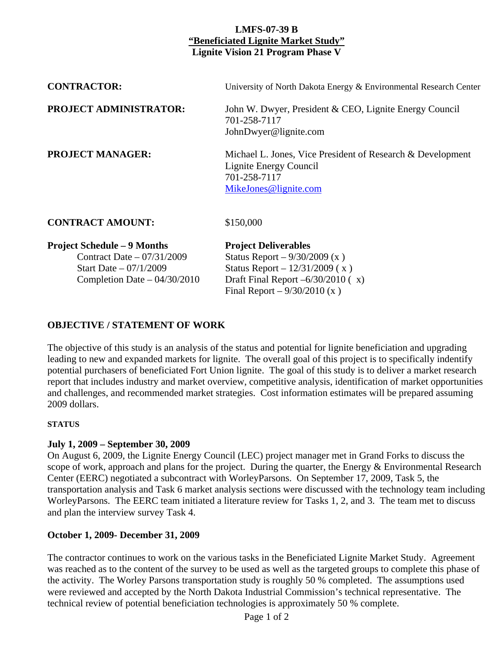# **LMFS-07-39 B "Beneficiated Lignite Market Study" Lignite Vision 21 Program Phase V**

| <b>Project Schedule – 9 Months</b> | <b>Project Deliverables</b>                                                                                                   |
|------------------------------------|-------------------------------------------------------------------------------------------------------------------------------|
| <b>CONTRACT AMOUNT:</b>            | \$150,000                                                                                                                     |
| <b>PROJECT MANAGER:</b>            | Michael L. Jones, Vice President of Research & Development<br>Lignite Energy Council<br>701-258-7117<br>MikeJones@lignite.com |
| <b>PROJECT ADMINISTRATOR:</b>      | John W. Dwyer, President & CEO, Lignite Energy Council<br>701-258-7117<br>JohnDwyer@lignite.com                               |
| <b>CONTRACTOR:</b>                 | University of North Dakota Energy & Environmental Research Center                                                             |

Contract Date – 07/31/2009 Status Report – 9/30/2009 (x )

Start Date –  $07/1/2009$  Status Report –  $12/31/2009$  (x) Completion Date –  $04/30/2010$  Draft Final Report – $6/30/2010$  (x) Final Report –  $9/30/2010$  (x)

# **OBJECTIVE / STATEMENT OF WORK**

The objective of this study is an analysis of the status and potential for lignite beneficiation and upgrading leading to new and expanded markets for lignite. The overall goal of this project is to specifically indentify potential purchasers of beneficiated Fort Union lignite. The goal of this study is to deliver a market research report that includes industry and market overview, competitive analysis, identification of market opportunities and challenges, and recommended market strategies. Cost information estimates will be prepared assuming 2009 dollars.

#### **STATUS**

### **July 1, 2009 – September 30, 2009**

On August 6, 2009, the Lignite Energy Council (LEC) project manager met in Grand Forks to discuss the scope of work, approach and plans for the project. During the quarter, the Energy & Environmental Research Center (EERC) negotiated a subcontract with WorleyParsons. On September 17, 2009, Task 5, the transportation analysis and Task 6 market analysis sections were discussed with the technology team including WorleyParsons. The EERC team initiated a literature review for Tasks 1, 2, and 3. The team met to discuss and plan the interview survey Task 4.

### **October 1, 2009- December 31, 2009**

The contractor continues to work on the various tasks in the Beneficiated Lignite Market Study. Agreement was reached as to the content of the survey to be used as well as the targeted groups to complete this phase of the activity. The Worley Parsons transportation study is roughly 50 % completed. The assumptions used were reviewed and accepted by the North Dakota Industrial Commission's technical representative. The technical review of potential beneficiation technologies is approximately 50 % complete.